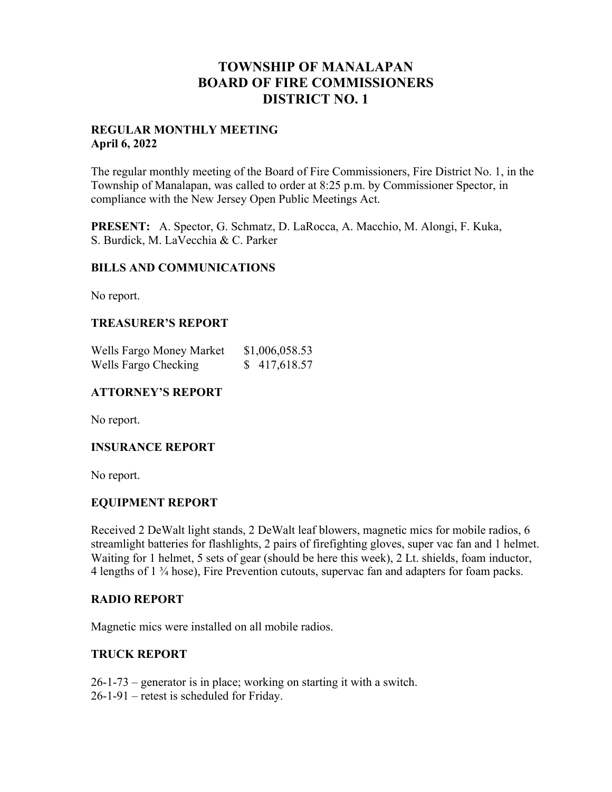## **TOWNSHIP OF MANALAPAN BOARD OF FIRE COMMISSIONERS DISTRICT NO. 1**

#### **REGULAR MONTHLY MEETING April 6, 2022**

The regular monthly meeting of the Board of Fire Commissioners, Fire District No. 1, in the Township of Manalapan, was called to order at 8:25 p.m. by Commissioner Spector, in compliance with the New Jersey Open Public Meetings Act.

**PRESENT:** A. Spector, G. Schmatz, D. LaRocca, A. Macchio, M. Alongi, F. Kuka, S. Burdick, M. LaVecchia & C. Parker

### **BILLS AND COMMUNICATIONS**

No report.

### **TREASURER'S REPORT**

| Wells Fargo Money Market | \$1,006,058.53 |
|--------------------------|----------------|
| Wells Fargo Checking     | \$417,618.57   |

### **ATTORNEY'S REPORT**

No report.

### **INSURANCE REPORT**

No report.

### **EQUIPMENT REPORT**

Received 2 DeWalt light stands, 2 DeWalt leaf blowers, magnetic mics for mobile radios, 6 streamlight batteries for flashlights, 2 pairs of firefighting gloves, super vac fan and 1 helmet. Waiting for 1 helmet, 5 sets of gear (should be here this week), 2 Lt. shields, foam inductor, 4 lengths of 1 ¾ hose), Fire Prevention cutouts, supervac fan and adapters for foam packs.

### **RADIO REPORT**

Magnetic mics were installed on all mobile radios.

### **TRUCK REPORT**

26-1-73 – generator is in place; working on starting it with a switch. 26-1-91 – retest is scheduled for Friday.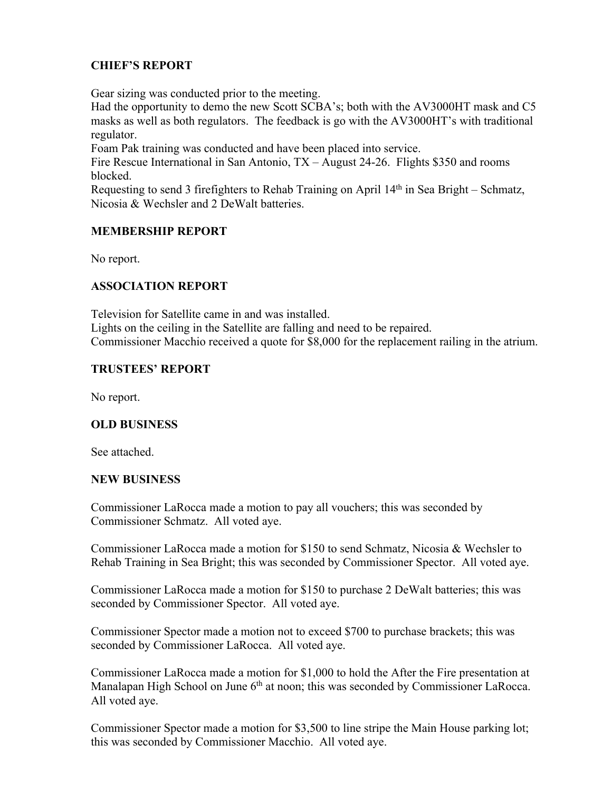### **CHIEF'S REPORT**

Gear sizing was conducted prior to the meeting.

Had the opportunity to demo the new Scott SCBA's; both with the AV3000HT mask and C5 masks as well as both regulators. The feedback is go with the AV3000HT's with traditional regulator.

Foam Pak training was conducted and have been placed into service.

Fire Rescue International in San Antonio, TX – August 24-26. Flights \$350 and rooms blocked.

Requesting to send 3 firefighters to Rehab Training on April 14th in Sea Bright – Schmatz, Nicosia & Wechsler and 2 DeWalt batteries.

### **MEMBERSHIP REPORT**

No report.

### **ASSOCIATION REPORT**

Television for Satellite came in and was installed. Lights on the ceiling in the Satellite are falling and need to be repaired. Commissioner Macchio received a quote for \$8,000 for the replacement railing in the atrium.

### **TRUSTEES' REPORT**

No report.

### **OLD BUSINESS**

See attached.

### **NEW BUSINESS**

Commissioner LaRocca made a motion to pay all vouchers; this was seconded by Commissioner Schmatz. All voted aye.

Commissioner LaRocca made a motion for \$150 to send Schmatz, Nicosia & Wechsler to Rehab Training in Sea Bright; this was seconded by Commissioner Spector. All voted aye.

Commissioner LaRocca made a motion for \$150 to purchase 2 DeWalt batteries; this was seconded by Commissioner Spector. All voted aye.

Commissioner Spector made a motion not to exceed \$700 to purchase brackets; this was seconded by Commissioner LaRocca. All voted aye.

Commissioner LaRocca made a motion for \$1,000 to hold the After the Fire presentation at Manalapan High School on June 6<sup>th</sup> at noon; this was seconded by Commissioner LaRocca. All voted aye.

Commissioner Spector made a motion for \$3,500 to line stripe the Main House parking lot; this was seconded by Commissioner Macchio. All voted aye.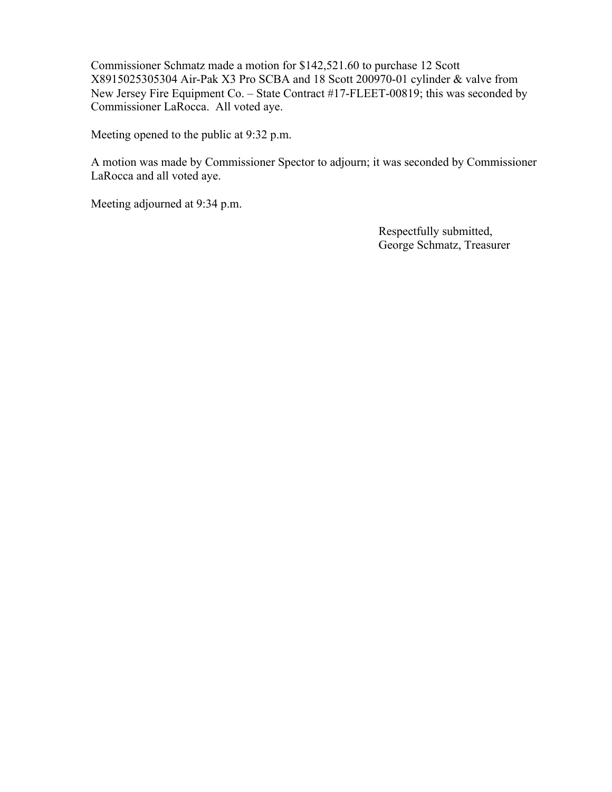Commissioner Schmatz made a motion for \$142,521.60 to purchase 12 Scott X8915025305304 Air-Pak X3 Pro SCBA and 18 Scott 200970-01 cylinder & valve from New Jersey Fire Equipment Co. – State Contract #17-FLEET-00819; this was seconded by Commissioner LaRocca. All voted aye.

Meeting opened to the public at 9:32 p.m.

A motion was made by Commissioner Spector to adjourn; it was seconded by Commissioner LaRocca and all voted aye.

Meeting adjourned at 9:34 p.m.

 Respectfully submitted, George Schmatz, Treasurer